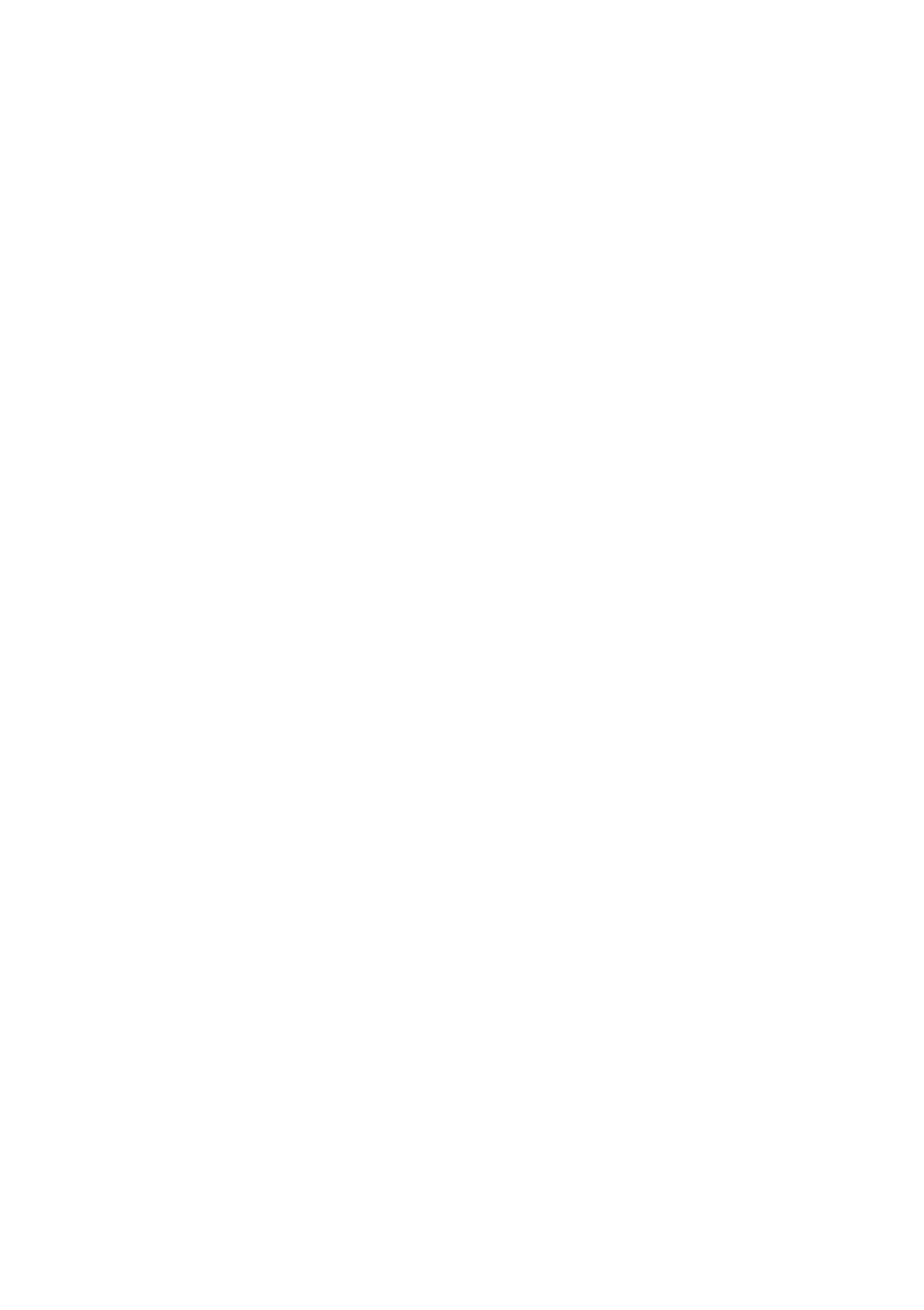

# SCHOTT International Graduate Program

Discover different perspectives and explore your potential.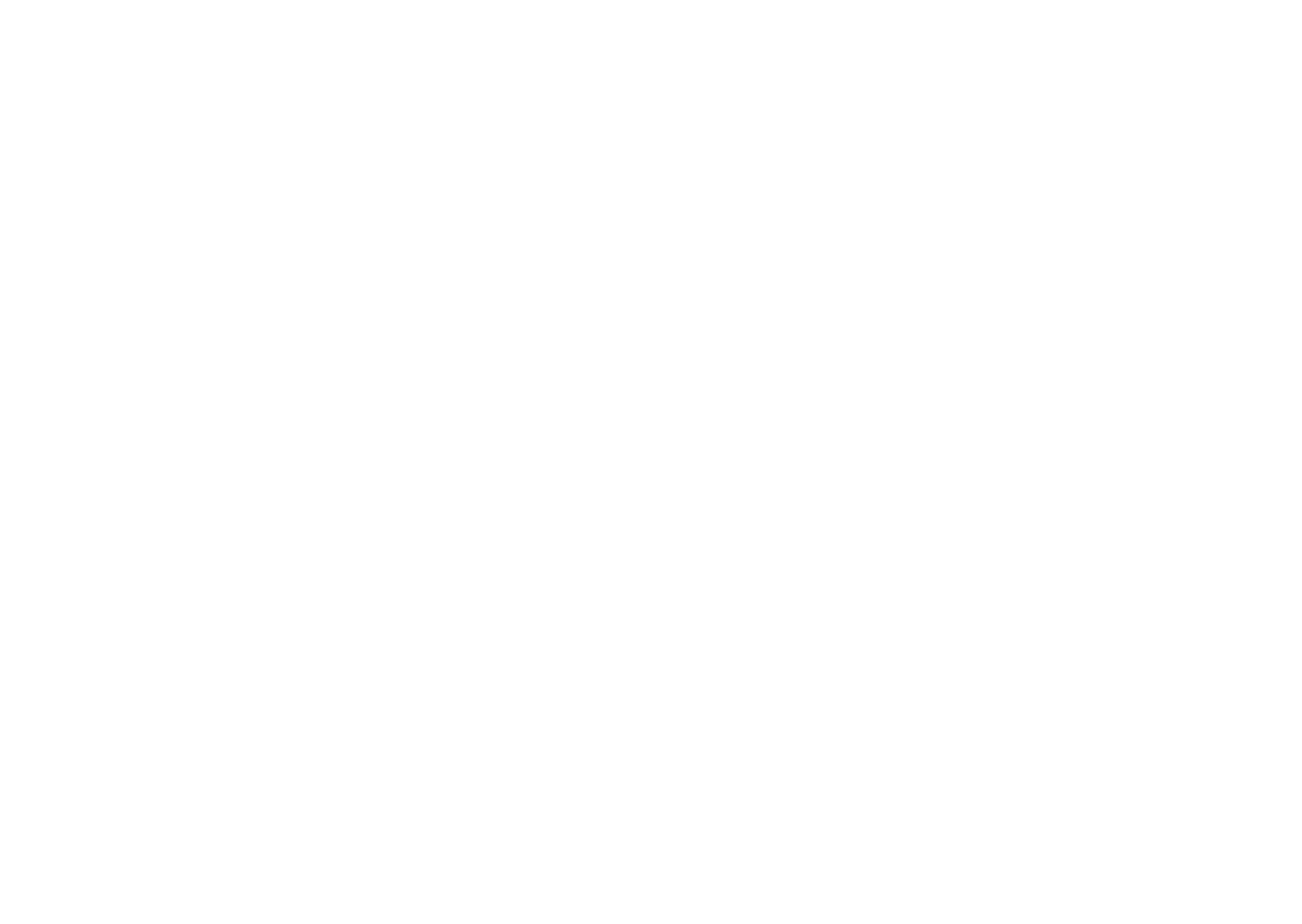# SCHOTT International Graduate Program

### Make a difference together with diverse people around the globe

The International Graduate Program is your perfect entry point to discover the international world of SCHOTT – and to discover yourself!

Spend between 18 and 24 months working in different assignments within the SCHOTT organization – both in your home country and abroad. Through this program you will have the opportunity to make a difference at SCHOTT while exploring different roles, enhancing your strengths, refining your career focus, and broadening your perspectives.

All this within a community of other international graduates, establishing a truly global network to serve you well, now and in the future.

# Milestones to Look Forward to

Working, training, sharing, learning, discovering and more

During the course of the program, you will find ample scope for your professional and personal development – getting to know the unique working culture of our global foundation company.

For graduates, tailor-made milestones of the program give you the chance to shape your entire career! Challenge yourself in project management, excel in a business simulation, and enlarge your network by interacting with international colleagues during the whole program.



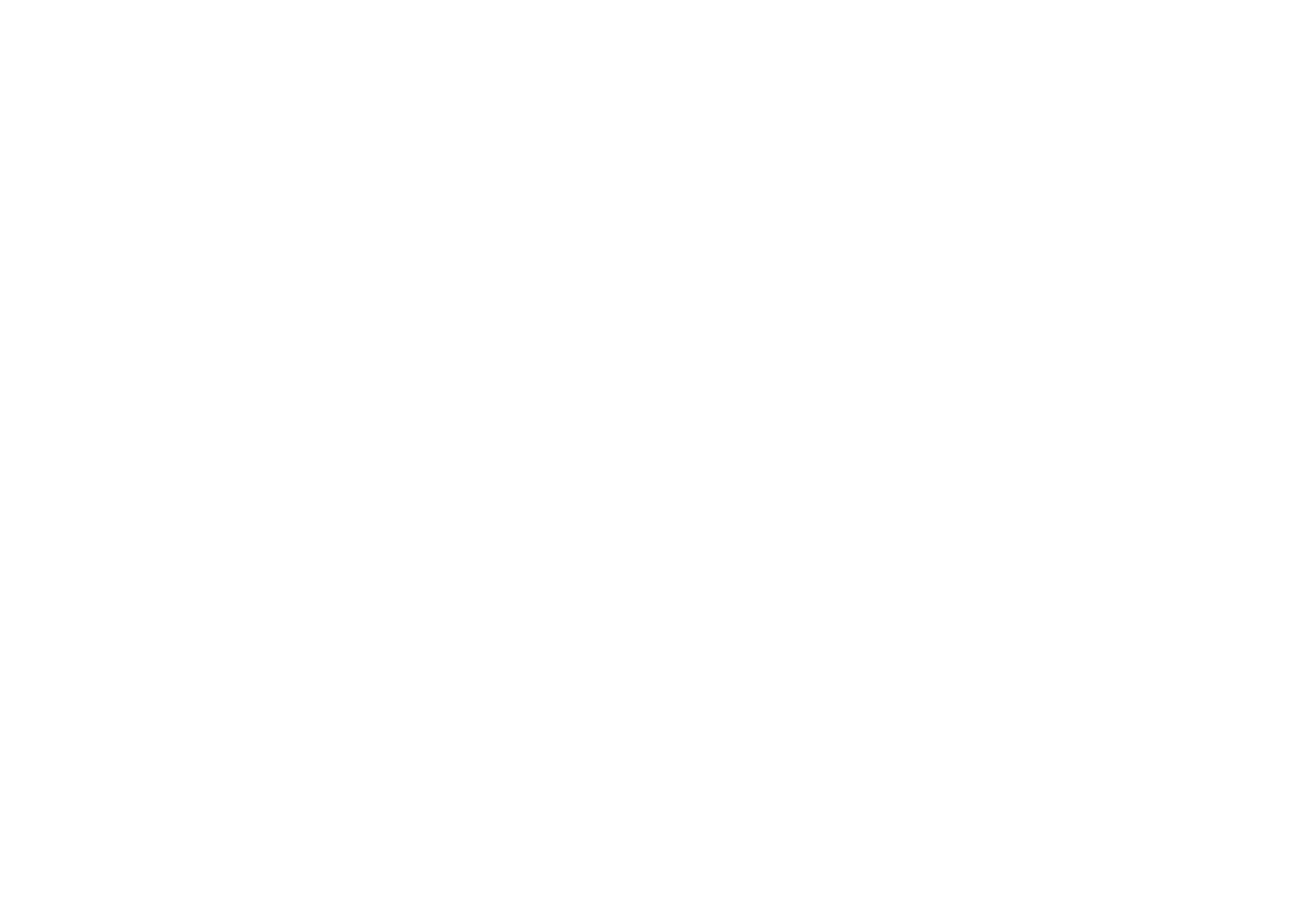

# Make Your Ideas Count

### Your well-structured start in a supportive environment

As a successful graduate, you want to gain as much experience as possible. And in our International Graduate Program, you can really get things moving – as part of an open-minded intercultural team that values your personality.

After an intensive onboarding phase, inspiring mentors will support you and your ideas with guidance, training, and lots of exciting possibilities.

Working together with your international colleagues and fellow graduates will give you a unique opportunity to get to know SCHOTT from a truly international perspective.

# Your Benefits at a Glance

All designed to multiply your opportunities





### Mentoring

An experienced manager will guide you in your personal and professional development.



#### Networking

Become part of a strong graduate and alumni network around the world.



### Career development

Seminars on a range of subjects such as intercultural communication and project management with other members of the graduate program.



#### International assignment

At least three months working abroad to connect with different areas of a global foundation company.



#### Development talk

A personal conversation with your manager and HR about your future career at the end of the program.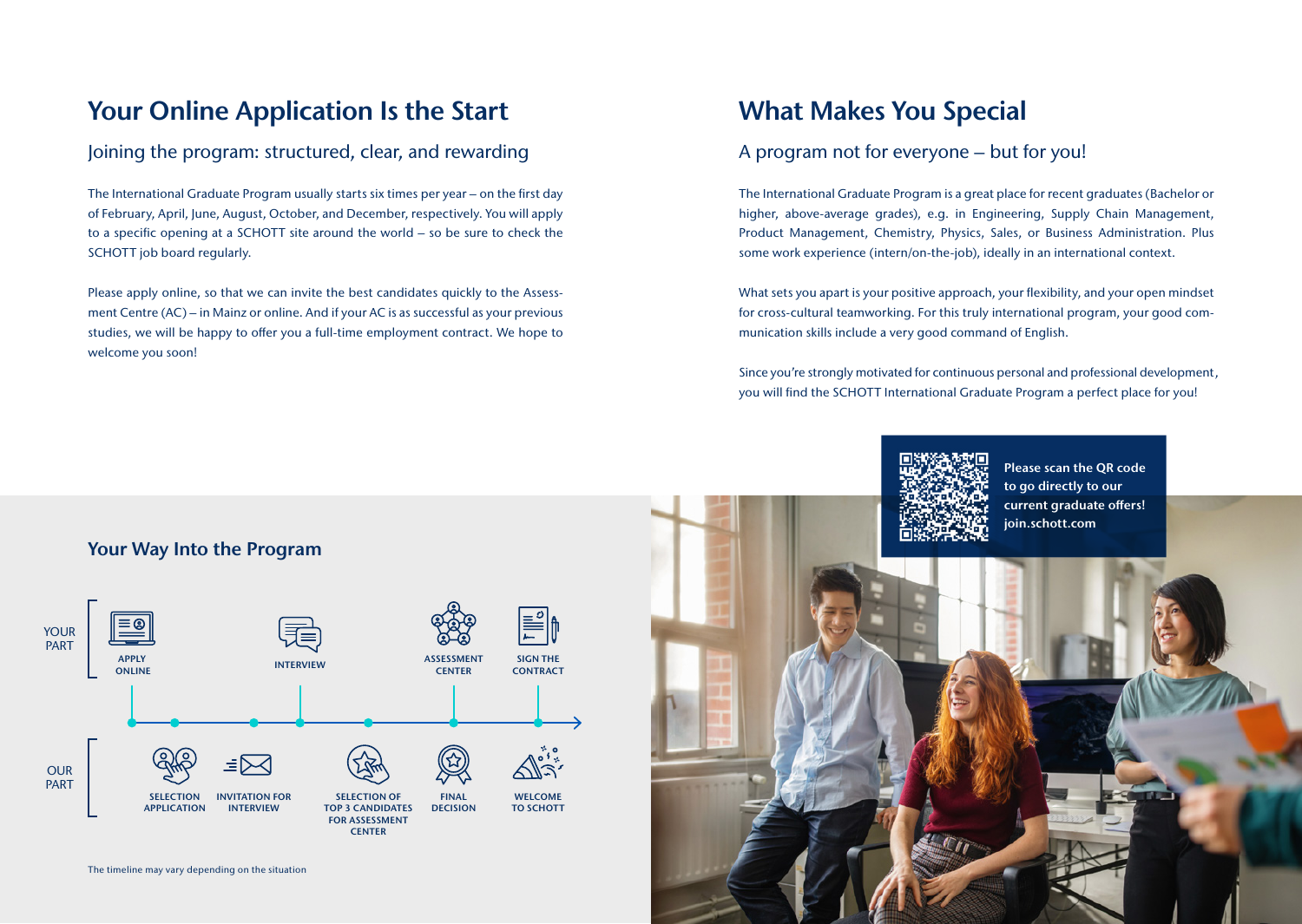# Your Online Application Is the Start

### Joining the program: structured, clear, and rewarding

The International Graduate Program usually starts six times per year – on the first day of February, April, June, August, October, and December, respectively. You will apply to a specific opening at a SCHOTT site around the world – so be sure to check the SCHOTT job board regularly.

Please apply online, so that we can invite the best candidates quickly to the Assessment Centre (AC) – in Mainz or online. And if your AC is as successful as your previous studies, we will be happy to offer you a full-time employment contract. We hope to welcome you soon!

# What Makes You Special

#### A program not for everyone – but for you!

The International Graduate Program is a great place for recent graduates (Bachelor or higher, above-average grades), e.g. in Engineering, Supply Chain Management, Product Management, Chemistry, Physics, Sales, or Business Administration. Plus some work experience (intern/on-the-job), ideally in an international context.

What sets you apart is your positive approach, your flexibility, and your open mindset for cross-cultural teamworking. For this truly international program, your good communication skills include a very good command of English.

Since you're strongly motivated for continuous personal and professional development , you will find the SCHOTT International Graduate Program a perfect place for you!



Please scan the QR code to go directly to our current graduate offers! join.schott.com



#### Your Way Into the Program



The timeline may vary depending on the situation